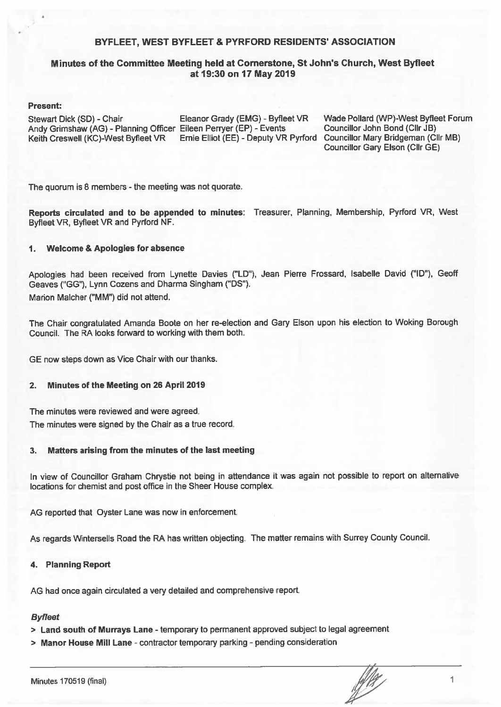#### BYFLEET. WEST BYFLEET & PYRFORD RESIDENTS' ASSOCIATION

#### Minutes of the Committee Meeting held at Cornerstone, St John's Church, West Byfleet at 19:30 on 17 May 2019

#### **Present:**

Stewart Dick (SD) - Chair Andy Grimshaw (AG) - Planning Officer Eileen Perryer (EP) - Events Keith Creswell (KC)-West Byfleet VR

Eleanor Grady (EMG) - Byfleet VR

Wade Pollard (WP)-West Byfleet Forum Councillor John Bond (Cllr JB) Ernie Elliot (EE) - Deputy VR Pyrford Councillor Mary Bridgeman (Cllr MB) Councillor Gary Elson (Cllr GE)

The quorum is 8 members - the meeting was not quorate.

Reports circulated and to be appended to minutes: Treasurer, Planning, Membership, Pyrford VR, West Byfleet VR, Byfleet VR and Pyrford NF.

#### $1.$ **Welcome & Apologies for absence**

Apologies had been received from Lynette Davies ("LD"), Jean Pierre Frossard, Isabelle David ("ID"), Geoff Geaves ("GG"). Lynn Cozens and Dharma Singham ("DS"). Marion Malcher ("MM") did not attend.

The Chair congratulated Amanda Boote on her re-election and Gary Elson upon his election to Woking Borough Council. The RA looks forward to working with them both.

GE now steps down as Vice Chair with our thanks.

#### $2.$ Minutes of the Meeting on 26 April 2019

The minutes were reviewed and were agreed.

The minutes were signed by the Chair as a true record.

#### Matters arising from the minutes of the last meeting 3.

In view of Councillor Graham Chrystie not being in attendance it was again not possible to report on alternative locations for chemist and post office in the Sheer House complex.

AG reported that Oyster Lane was now in enforcement.

As regards Wintersells Road the RA has written objecting. The matter remains with Surrey County Council.

#### **Planning Report** 4.

AG had once again circulated a very detailed and comprehensive report.

### **Byfleet**

- > Land south of Murrays Lane temporary to permanent approved subject to legal agreement
- > Manor House Mill Lane contractor temporary parking pending consideration

**Ally**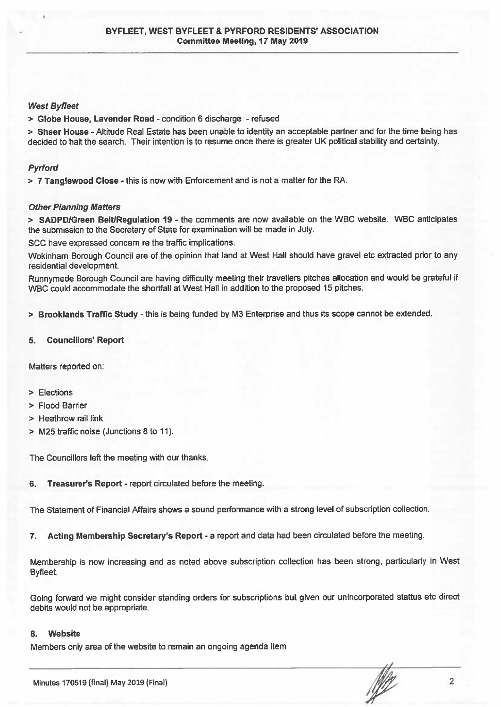#### **West Byfleet**

> Globe House, Lavender Road - condition 6 discharge - refused

> Sheer House - Altitude Real Estate has been unable to identity an acceptable partner and for the time being has decided to halt the search. Their intention is to resume once there is greater UK political stability and certainty.

#### **Pyrford**

> 7 Tanglewood Close - this is now with Enforcement and is not a matter for the RA.

#### **Other Planning Matters**

> SADPD/Green Belt/Regulation 19 - the comments are now available on the WBC website. WBC anticipates the submission to the Secretary of State for examination will be made in July.

SCC have expressed concern re the traffic implications.

Wokinham Borough Council are of the opinion that land at West Hall should have gravel etc extracted prior to any residential development.

Runnymede Borough Council are having difficulty meeting their travellers pitches allocation and would be grateful if WBC could accommodate the shortfall at West Hall in addition to the proposed 15 pitches.

> Brooklands Traffic Study - this is being funded by M3 Enterprise and thus its scope cannot be extended.

#### **Councillors' Report** 5.

Matters reported on:

- > Elections
- > Flood Barrier
- > Heathrow rail link
- > M25 traffic noise (Junctions 8 to 11).

The Councillors left the meeting with our thanks.

Treasurer's Report - report circulated before the meeting. 6.

The Statement of Financial Affairs shows a sound performance with a strong level of subscription collection.

Acting Membership Secretary's Report - a report and data had been circulated before the meeting.  $\overline{7}$ .

Membership is now increasing and as noted above subscription collection has been strong, particularly in West Byfleet.

Going forward we might consider standing orders for subscriptions but given our unincorporated stattus etc direct debits would not be appropriate.

#### **Website** 8.

Members only area of the website to remain an ongoing agenda item

 $\overline{2}$ 

**NE**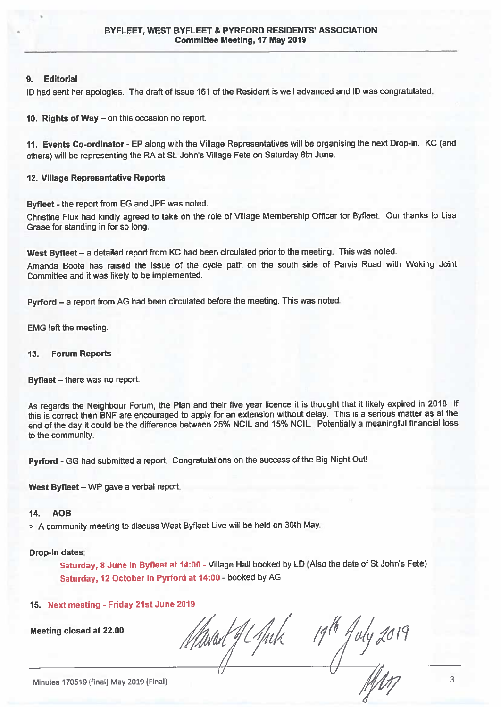#### $\bullet$ **Editorial**

ID had sent her apologies. The draft of issue 161 of the Resident is well advanced and ID was congratulated.

10. Rights of Way - on this occasion no report.

11. Events Co-ordinator - EP along with the Village Representatives will be organising the next Drop-in. KC (and others) will be representing the RA at St. John's Village Fete on Saturday 8th June.

#### 12. Village Representative Reports

Byfleet - the report from EG and JPF was noted.

Christine Flux had kindly agreed to take on the role of Village Membership Officer for Byfleet. Our thanks to Lisa Graae for standing in for so long.

West Byfleet - a detailed report from KC had been circulated prior to the meeting. This was noted.

Amanda Boote has raised the issue of the cycle path on the south side of Parvis Road with Woking Joint Committee and it was likely to be implemented.

Pyrford - a report from AG had been circulated before the meeting. This was noted.

**EMG left the meeting.** 

#### $13.$ **Forum Reports**

Byfleet - there was no report.

As regards the Neighbour Forum, the Plan and their five year licence it is thought that it likely expired in 2018 If this is correct then BNF are encouraged to apply for an extension without delay. This is a serious matter as at the end of the day it could be the difference between 25% NCIL and 15% NCIL. Potentially a meaningful financial loss to the community.

Pyrford - GG had submitted a report. Congratulations on the success of the Big Night Out!

West Byfleet - WP gave a verbal report.

#### $14.$ **AOB**

> A community meeting to discuss West Byfleet Live will be held on 30th May.

#### Drop-in dates:

Saturday, 8 June in Byfieet at 14:00 - Village Hall booked by LD (Also the date of St John's Fete) Saturday, 12 October in Pyrford at 14:00 - booked by AG

#### 15. Next meeting - Friday 21st June 2019

**Meeting closed at 22.00** 

 $\frac{1}{4}$ uly 2017 thsad J Chuk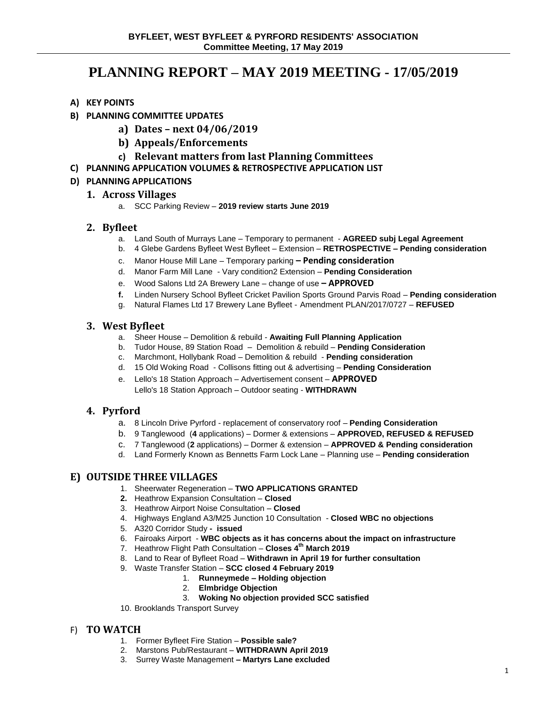# **PLANNING REPORT – MAY 2019 MEETING - 17/05/2019**

- **A) KEY POINTS**
- **B) PLANNING COMMITTEE UPDATES**
	- **a) Dates – next 04/06/2019**
	- **b) Appeals/Enforcements**
	- **c) Relevant matters from last Planning Committees**
- **C) PLANNING APPLICATION VOLUMES & RETROSPECTIVE APPLICATION LIST**

### **D) PLANNING APPLICATIONS**

### **1. Across Villages**

a. SCC Parking Review – **2019 review starts June 2019**

### **2. Byfleet**

- a. Land South of Murrays Lane Temporary to permanent **AGREED subj Legal Agreement**
- b. 4 Glebe Gardens Byfleet West Byfleet Extension **RETROSPECTIVE – Pending consideration**
- c. Manor House Mill Lane Temporary parking **– Pending consideration**
- d. Manor Farm Mill Lane Vary condition2 Extension **Pending Consideration**
- e. Wood Salons Ltd 2A Brewery Lane change of use **– APPROVED**
- **f.** Linden Nursery School Byfleet Cricket Pavilion Sports Ground Parvis Road **Pending consideration**
- g. Natural Flames Ltd 17 Brewery Lane Byfleet Amendment PLAN/2017/0727 **REFUSED**

### **3. West Byfleet**

- a. Sheer House Demolition & rebuild **Awaiting Full Planning Application**
- b. Tudor House, 89 Station Road Demolition & rebuild **Pending Consideration**
- c. Marchmont, Hollybank Road Demolition & rebuild **Pending consideration**
- d. 15 Old Woking Road Collisons fitting out & advertising **Pending Consideration**
- e. Lello's 18 Station Approach Advertisement consent **APPROVED** Lello's 18 Station Approach – Outdoor seating - **WITHDRAWN**

# **4. Pyrford**

- a. 8 Lincoln Drive Pyrford replacement of conservatory roof **Pending Consideration**
- b. 9 Tanglewood (**4** applications) Dormer & extensions **APPROVED, REFUSED & REFUSED**
- c. 7 Tanglewood (**2** applications) Dormer & extension **APPROVED & Pending consideration**
- d. Land Formerly Known as Bennetts Farm Lock Lane Planning use **Pending consideration**

# **E) OUTSIDE THREE VILLAGES**

- 1. Sheerwater Regeneration **TWO APPLICATIONS GRANTED**
- **2.** Heathrow Expansion Consultation **Closed**
- 3. Heathrow Airport Noise Consultation **Closed**
- 4. Highways England A3/M25 Junction 10 Consultation **Closed WBC no objections**
- 5. A320 Corridor Study  **issued**
- 6. Fairoaks Airport **WBC objects as it has concerns about the impact on infrastructure**
- 7. Heathrow Flight Path Consultation **Closes 4th March 2019**
- 8. Land to Rear of Byfleet Road **Withdrawn in April 19 for further consultation**
- 9. Waste Transfer Station **SCC closed 4 February 2019**
	- 1. **Runneymede – Holding objection**
		- 2. **Elmbridge Objection**
		- 3. **Woking No objection provided SCC satisfied**
- 10. Brooklands Transport Survey

### F) **TO WATCH**

- 1. Former Byfleet Fire Station **Possible sale?**
- 2. Marstons Pub/Restaurant **WITHDRAWN April 2019**
- 3. Surrey Waste Management **– Martyrs Lane excluded**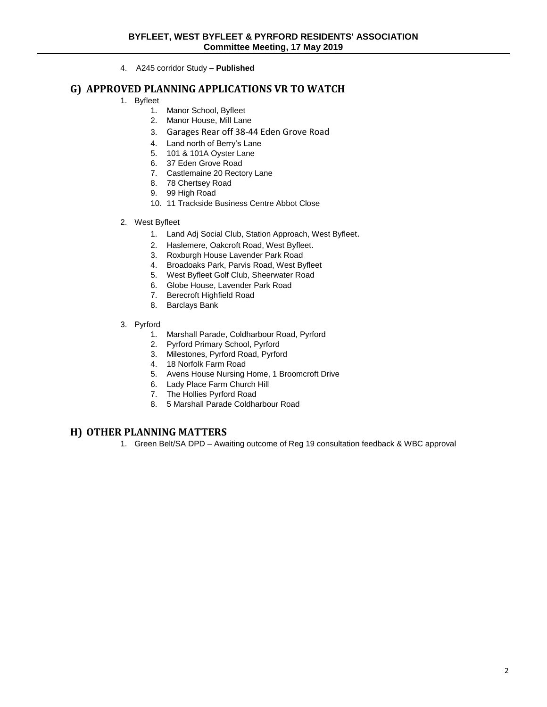4. A245 corridor Study – **Published**

### **G) APPROVED PLANNING APPLICATIONS VR TO WATCH**

- 1. Byfleet
	- 1. Manor School, Byfleet
	- 2. Manor House, Mill Lane
	- 3. Garages Rear off 38-44 Eden Grove Road
	- 4. Land north of Berry's Lane
	- 5. 101 & 101A Oyster Lane
	- 6. 37 Eden Grove Road
	- 7. Castlemaine 20 Rectory Lane
	- 8. 78 Chertsey Road
	- 9. 99 High Road
	- 10. 11 Trackside Business Centre Abbot Close
- 2. West Byfleet
	- 1. Land Adj Social Club, Station Approach, West Byfleet.
	- 2. Haslemere, Oakcroft Road, West Byfleet.
	- 3. Roxburgh House Lavender Park Road
	- 4. Broadoaks Park, Parvis Road, West Byfleet
	- 5. West Byfleet Golf Club, Sheerwater Road
	- 6. Globe House, Lavender Park Road
	- 7. Berecroft Highfield Road
	- 8. Barclays Bank
- 3. Pyrford
	- 1. Marshall Parade, Coldharbour Road, Pyrford
	- 2. Pyrford Primary School, Pyrford
	- 3. Milestones, Pyrford Road, Pyrford
	- 4. 18 Norfolk Farm Road
	- 5. Avens House Nursing Home, 1 Broomcroft Drive
	- 6. Lady Place Farm Church Hill
	- 7. The Hollies Pyrford Road
	- 8. 5 Marshall Parade Coldharbour Road

### **H) OTHER PLANNING MATTERS**

1. Green Belt/SA DPD – Awaiting outcome of Reg 19 consultation feedback & WBC approval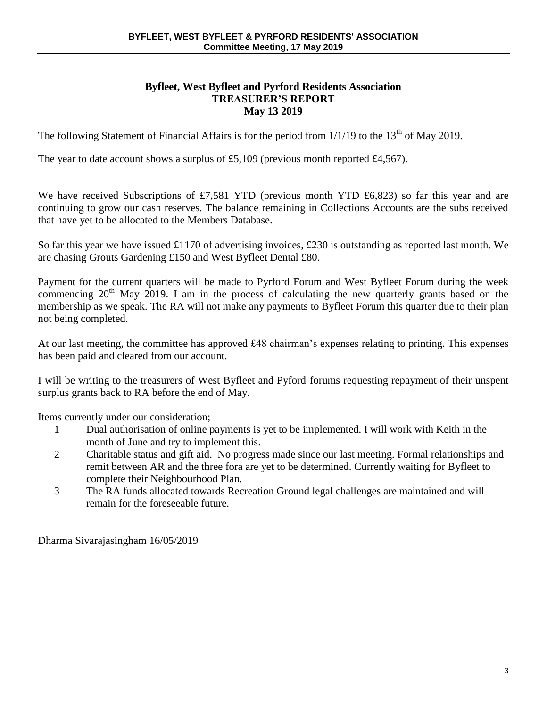### **Byfleet, West Byfleet and Pyrford Residents Association TREASURER'S REPORT May 13 2019**

The following Statement of Financial Affairs is for the period from  $1/1/19$  to the  $13<sup>th</sup>$  of May 2019.

The year to date account shows a surplus of £5,109 (previous month reported £4,567).

We have received Subscriptions of £7,581 YTD (previous month YTD £6,823) so far this year and are continuing to grow our cash reserves. The balance remaining in Collections Accounts are the subs received that have yet to be allocated to the Members Database.

So far this year we have issued £1170 of advertising invoices, £230 is outstanding as reported last month. We are chasing Grouts Gardening £150 and West Byfleet Dental £80.

Payment for the current quarters will be made to Pyrford Forum and West Byfleet Forum during the week commencing  $20<sup>th</sup>$  May 2019. I am in the process of calculating the new quarterly grants based on the membership as we speak. The RA will not make any payments to Byfleet Forum this quarter due to their plan not being completed.

At our last meeting, the committee has approved £48 chairman's expenses relating to printing. This expenses has been paid and cleared from our account.

I will be writing to the treasurers of West Byfleet and Pyford forums requesting repayment of their unspent surplus grants back to RA before the end of May.

Items currently under our consideration;

- 1 Dual authorisation of online payments is yet to be implemented. I will work with Keith in the month of June and try to implement this.
- 2 Charitable status and gift aid. No progress made since our last meeting. Formal relationships and remit between AR and the three fora are yet to be determined. Currently waiting for Byfleet to complete their Neighbourhood Plan.
- 3 The RA funds allocated towards Recreation Ground legal challenges are maintained and will remain for the foreseeable future.

Dharma Sivarajasingham 16/05/2019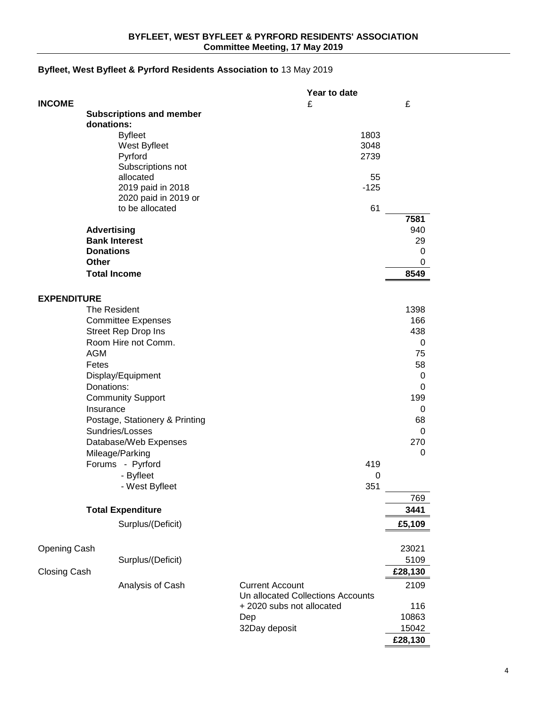### **Byfleet, West Byfleet & Pyrford Residents Association to** 13 May 2019

|                     |                      |                                 |                                                             | Year to date |         |
|---------------------|----------------------|---------------------------------|-------------------------------------------------------------|--------------|---------|
| <b>INCOME</b>       |                      |                                 | £                                                           |              | £       |
|                     |                      | <b>Subscriptions and member</b> |                                                             |              |         |
|                     | donations:           |                                 |                                                             |              |         |
|                     |                      | <b>Byfleet</b>                  |                                                             | 1803         |         |
|                     |                      | West Byfleet                    |                                                             | 3048         |         |
|                     |                      | Pyrford                         |                                                             | 2739         |         |
|                     |                      | Subscriptions not<br>allocated  |                                                             | 55           |         |
|                     |                      | 2019 paid in 2018               |                                                             | $-125$       |         |
|                     |                      | 2020 paid in 2019 or            |                                                             |              |         |
|                     |                      | to be allocated                 |                                                             | 61           |         |
|                     |                      |                                 |                                                             |              | 7581    |
|                     | <b>Advertising</b>   |                                 |                                                             |              | 940     |
|                     | <b>Bank Interest</b> |                                 |                                                             |              | 29      |
|                     | <b>Donations</b>     |                                 |                                                             |              | 0       |
|                     | <b>Other</b>         |                                 |                                                             |              | 0       |
|                     | <b>Total Income</b>  |                                 |                                                             |              | 8549    |
|                     |                      |                                 |                                                             |              |         |
| <b>EXPENDITURE</b>  |                      |                                 |                                                             |              |         |
|                     | The Resident         |                                 |                                                             |              | 1398    |
|                     |                      | <b>Committee Expenses</b>       |                                                             |              | 166     |
|                     |                      | <b>Street Rep Drop Ins</b>      |                                                             |              | 438     |
|                     |                      | Room Hire not Comm.             |                                                             |              | 0       |
|                     | <b>AGM</b>           |                                 |                                                             |              | 75      |
|                     | Fetes                |                                 |                                                             |              | 58      |
|                     |                      | Display/Equipment               |                                                             |              | 0       |
|                     | Donations:           |                                 |                                                             |              | 0       |
|                     |                      | <b>Community Support</b>        |                                                             |              | 199     |
|                     | Insurance            |                                 |                                                             |              | 0       |
|                     |                      | Postage, Stationery & Printing  |                                                             |              | 68      |
|                     |                      | Sundries/Losses                 |                                                             |              | 0       |
|                     |                      | Database/Web Expenses           |                                                             |              | 270     |
|                     |                      | Mileage/Parking                 |                                                             |              | 0       |
|                     |                      | Forums - Pyrford                |                                                             | 419          |         |
|                     |                      | - Byfleet                       |                                                             | 0            |         |
|                     |                      | - West Byfleet                  |                                                             | 351          |         |
|                     |                      |                                 |                                                             |              | 769     |
|                     |                      | <b>Total Expenditure</b>        |                                                             |              | 3441    |
|                     |                      | Surplus/(Deficit)               |                                                             |              | £5,109  |
|                     |                      |                                 |                                                             |              |         |
| Opening Cash        |                      |                                 |                                                             |              | 23021   |
|                     |                      | Surplus/(Deficit)               |                                                             |              | 5109    |
| <b>Closing Cash</b> |                      |                                 |                                                             |              | £28,130 |
|                     |                      |                                 |                                                             |              |         |
|                     |                      | Analysis of Cash                | <b>Current Account</b><br>Un allocated Collections Accounts |              | 2109    |
|                     |                      |                                 | + 2020 subs not allocated                                   |              | 116     |
|                     |                      |                                 | Dep                                                         |              | 10863   |
|                     |                      |                                 | 32Day deposit                                               |              | 15042   |
|                     |                      |                                 |                                                             |              | £28,130 |
|                     |                      |                                 |                                                             |              |         |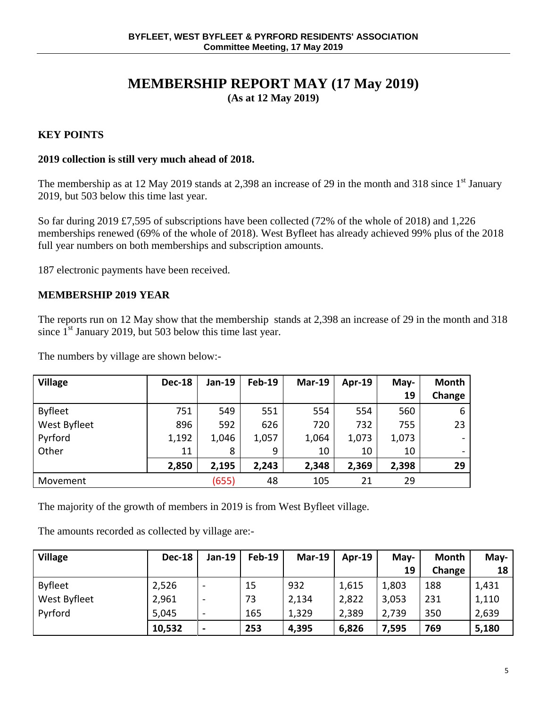# **MEMBERSHIP REPORT MAY (17 May 2019) (As at 12 May 2019)**

# **KEY POINTS**

# **2019 collection is still very much ahead of 2018.**

The membership as at 12 May 2019 stands at 2,398 an increase of 29 in the month and 318 since 1<sup>st</sup> January 2019, but 503 below this time last year.

So far during 2019 £7,595 of subscriptions have been collected (72% of the whole of 2018) and 1,226 memberships renewed (69% of the whole of 2018). West Byfleet has already achieved 99% plus of the 2018 full year numbers on both memberships and subscription amounts.

187 electronic payments have been received.

### **MEMBERSHIP 2019 YEAR**

The reports run on 12 May show that the membership stands at 2,398 an increase of 29 in the month and 318 since  $1<sup>st</sup>$  January 2019, but 503 below this time last year.

The numbers by village are shown below:-

| <b>Village</b> | <b>Dec-18</b> | Jan-19 | <b>Feb-19</b> | <b>Mar-19</b> | <b>Apr-19</b> | May-  | <b>Month</b> |
|----------------|---------------|--------|---------------|---------------|---------------|-------|--------------|
|                |               |        |               |               |               | 19    | Change       |
| <b>Byfleet</b> | 751           | 549    | 551           | 554           | 554           | 560   | 6            |
| West Byfleet   | 896           | 592    | 626           | 720           | 732           | 755   | 23           |
| Pyrford        | 1,192         | 1,046  | 1,057         | 1,064         | 1,073         | 1,073 |              |
| Other          | 11            | 8      | 9             | 10            | 10            | 10    |              |
|                | 2,850         | 2,195  | 2,243         | 2,348         | 2,369         | 2,398 | 29           |
| Movement       |               | (655)  | 48            | 105           | 21            | 29    |              |

The majority of the growth of members in 2019 is from West Byfleet village.

The amounts recorded as collected by village are:-

| <b>Village</b> | <b>Dec-18</b> | <b>Jan-19</b>            | <b>Feb-19</b> | <b>Mar-19</b> | $Apr-19$ | May-  | <b>Month</b> | May- $\vert$    |
|----------------|---------------|--------------------------|---------------|---------------|----------|-------|--------------|-----------------|
|                |               |                          |               |               |          | 19    | Change       | 18 <sup>1</sup> |
| <b>Byfleet</b> | 2,526         | $\overline{\phantom{m}}$ | 15            | 932           | 1,615    | 1,803 | 188          | 1,431           |
| West Byfleet   | 2,961         | $\overline{\phantom{a}}$ | 73            | 2,134         | 2,822    | 3,053 | 231          | 1,110           |
| Pyrford        | 5,045         | $\overline{\phantom{a}}$ | 165           | 1,329         | 2,389    | 2,739 | 350          | 2,639           |
|                | 10,532        | ٠                        | 253           | 4,395         | 6,826    | 7,595 | 769          | 5,180           |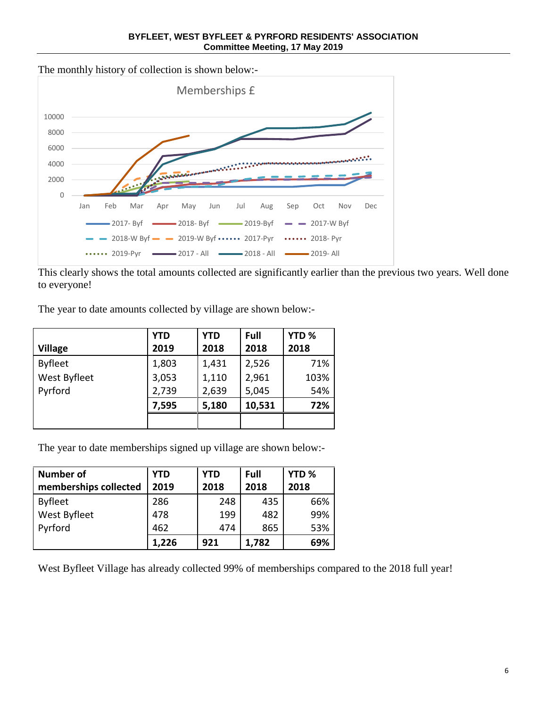**BYFLEET, WEST BYFLEET & PYRFORD RESIDENTS' ASSOCIATION Committee Meeting, 17 May 2019**

The monthly history of collection is shown below:-



This clearly shows the total amounts collected are significantly earlier than the previous two years. Well done to everyone!

The year to date amounts collected by village are shown below:-

|                | <b>YTD</b> | <b>YTD</b> | Full   | YTD <sub>%</sub> |
|----------------|------------|------------|--------|------------------|
| <b>Village</b> | 2019       | 2018       | 2018   | 2018             |
| <b>Byfleet</b> | 1,803      | 1,431      | 2,526  | 71%              |
| West Byfleet   | 3,053      | 1,110      | 2,961  | 103%             |
| Pyrford        | 2,739      | 2,639      | 5,045  | 54%              |
|                | 7,595      | 5,180      | 10,531 | 72%              |
|                |            |            |        |                  |

The year to date memberships signed up village are shown below:-

| Number of             | <b>YTD</b> | <b>YTD</b> | Full  | YTD <sub>%</sub> |
|-----------------------|------------|------------|-------|------------------|
| memberships collected | 2019       | 2018       | 2018  | 2018             |
| Byfleet               | 286        | 248        | 435   | 66%              |
| <b>West Byfleet</b>   | 478        | 199        | 482   | 99%              |
| Pyrford               | 462        | 474        | 865   | 53%              |
|                       | 1,226      | 921        | 1,782 | 69%              |

West Byfleet Village has already collected 99% of memberships compared to the 2018 full year!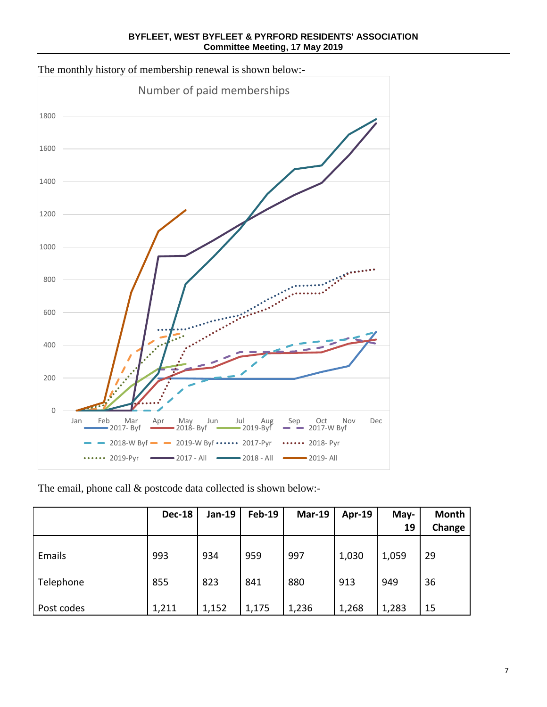**BYFLEET, WEST BYFLEET & PYRFORD RESIDENTS' ASSOCIATION Committee Meeting, 17 May 2019**



The monthly history of membership renewal is shown below:-

The email, phone call & postcode data collected is shown below:-

|            | <b>Dec-18</b> | Jan-19 | <b>Feb-19</b> | <b>Mar-19</b> | Apr-19 | May-<br>19 | <b>Month</b><br>Change |
|------------|---------------|--------|---------------|---------------|--------|------------|------------------------|
| Emails     | 993           | 934    | 959           | 997           | 1,030  | 1,059      | 29                     |
| Telephone  | 855           | 823    | 841           | 880           | 913    | 949        | 36                     |
| Post codes | 1,211         | 1,152  | 1,175         | 1,236         | 1,268  | 1,283      | 15                     |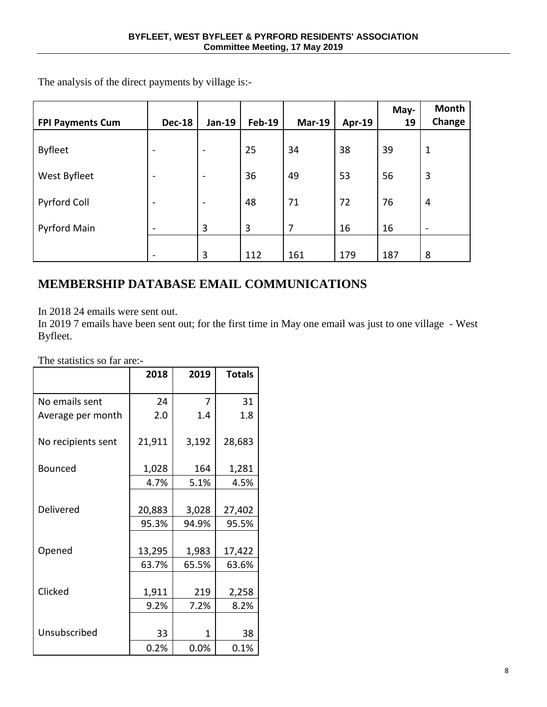| <b>FPI Payments Cum</b> | <b>Dec-18</b>            | Jan-19                   | <b>Feb-19</b> | <b>Mar-19</b> | Apr-19 | May-<br>19 | Month<br>Change |
|-------------------------|--------------------------|--------------------------|---------------|---------------|--------|------------|-----------------|
| <b>Byfleet</b>          | $\overline{\phantom{a}}$ | ٠                        | 25            | 34            | 38     | 39         | 1               |
| West Byfleet            | $\overline{\phantom{a}}$ | $\overline{\phantom{0}}$ | 36            | 49            | 53     | 56         | 3               |
| Pyrford Coll            | $\overline{\phantom{a}}$ |                          | 48            | 71            | 72     | 76         | 4               |
| <b>Pyrford Main</b>     |                          | 3                        | 3             | 7             | 16     | 16         |                 |
|                         | $\,$                     | 3                        | 112           | 161           | 179    | 187        | 8               |

# **MEMBERSHIP DATABASE EMAIL COMMUNICATIONS**

In 2018 24 emails were sent out.

In 2019 7 emails have been sent out; for the first time in May one email was just to one village - West Byfleet.

The statistics so far are:-

|                    | 2018   | 2019  | <b>Totals</b> |
|--------------------|--------|-------|---------------|
|                    |        |       |               |
| No emails sent     | 24     | 7     | 31            |
| Average per month  | 2.0    | 1.4   | 1.8           |
| No recipients sent | 21,911 | 3,192 | 28,683        |
| <b>Bounced</b>     | 1,028  | 164   | 1,281         |
|                    | 4.7%   | 5.1%  | 4.5%          |
|                    |        |       |               |
| Delivered          | 20,883 | 3,028 | 27,402        |
|                    | 95.3%  | 94.9% | 95.5%         |
|                    |        |       |               |
| Opened             | 13,295 | 1,983 | 17,422        |
|                    | 63.7%  | 65.5% | 63.6%         |
|                    |        |       |               |
| Clicked            | 1,911  | 219   | 2,258         |
|                    | 9.2%   | 7.2%  | 8.2%          |
|                    |        |       |               |
| Unsubscribed       | 33     | 1     | 38            |
|                    | 0.2%   | 0.0%  | 0.1%          |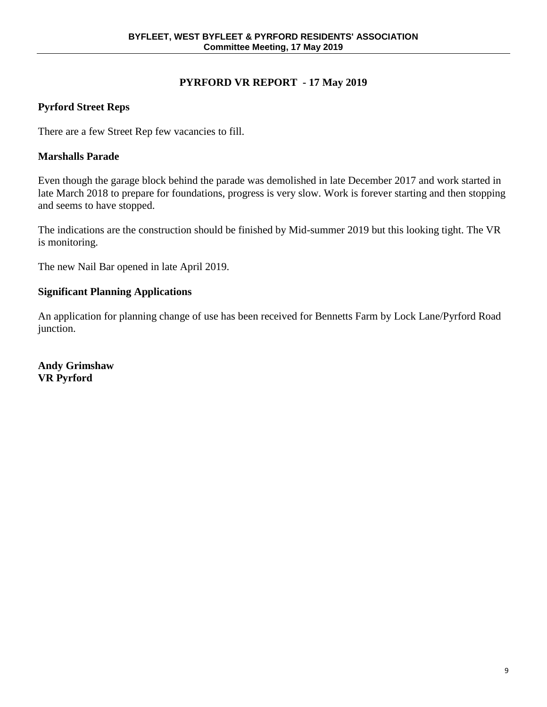# **PYRFORD VR REPORT - 17 May 2019**

# **Pyrford Street Reps**

There are a few Street Rep few vacancies to fill.

# **Marshalls Parade**

Even though the garage block behind the parade was demolished in late December 2017 and work started in late March 2018 to prepare for foundations, progress is very slow. Work is forever starting and then stopping and seems to have stopped.

The indications are the construction should be finished by Mid-summer 2019 but this looking tight. The VR is monitoring.

The new Nail Bar opened in late April 2019.

# **Significant Planning Applications**

An application for planning change of use has been received for Bennetts Farm by Lock Lane/Pyrford Road junction.

**Andy Grimshaw VR Pyrford**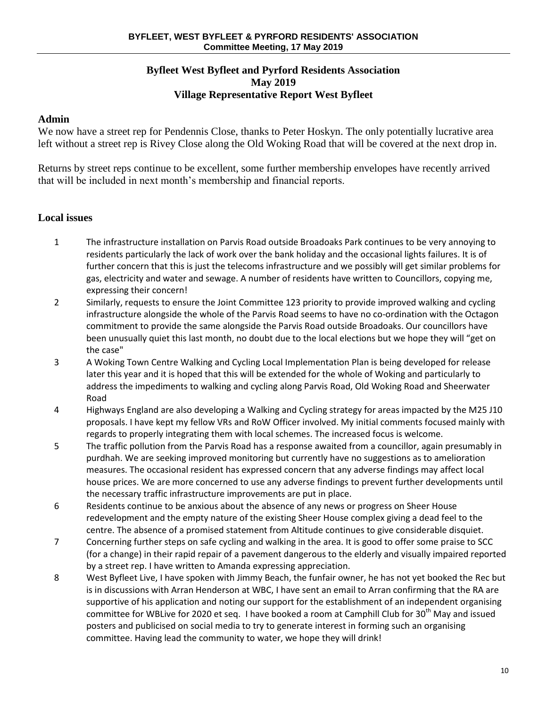### **Byfleet West Byfleet and Pyrford Residents Association May 2019 Village Representative Report West Byfleet**

### **Admin**

We now have a street rep for Pendennis Close, thanks to Peter Hoskyn. The only potentially lucrative area left without a street rep is Rivey Close along the Old Woking Road that will be covered at the next drop in.

Returns by street reps continue to be excellent, some further membership envelopes have recently arrived that will be included in next month's membership and financial reports.

### **Local issues**

- 1 The infrastructure installation on Parvis Road outside Broadoaks Park continues to be very annoying to residents particularly the lack of work over the bank holiday and the occasional lights failures. It is of further concern that this is just the telecoms infrastructure and we possibly will get similar problems for gas, electricity and water and sewage. A number of residents have written to Councillors, copying me, expressing their concern!
- 2 Similarly, requests to ensure the Joint Committee 123 priority to provide improved walking and cycling infrastructure alongside the whole of the Parvis Road seems to have no co-ordination with the Octagon commitment to provide the same alongside the Parvis Road outside Broadoaks. Our councillors have been unusually quiet this last month, no doubt due to the local elections but we hope they will "get on the case"
- 3 A Woking Town Centre Walking and Cycling Local Implementation Plan is being developed for release later this year and it is hoped that this will be extended for the whole of Woking and particularly to address the impediments to walking and cycling along Parvis Road, Old Woking Road and Sheerwater Road
- 4 Highways England are also developing a Walking and Cycling strategy for areas impacted by the M25 J10 proposals. I have kept my fellow VRs and RoW Officer involved. My initial comments focused mainly with regards to properly integrating them with local schemes. The increased focus is welcome.
- 5 The traffic pollution from the Parvis Road has a response awaited from a councillor, again presumably in purdhah. We are seeking improved monitoring but currently have no suggestions as to amelioration measures. The occasional resident has expressed concern that any adverse findings may affect local house prices. We are more concerned to use any adverse findings to prevent further developments until the necessary traffic infrastructure improvements are put in place.
- 6 Residents continue to be anxious about the absence of any news or progress on Sheer House redevelopment and the empty nature of the existing Sheer House complex giving a dead feel to the centre. The absence of a promised statement from Altitude continues to give considerable disquiet.
- 7 Concerning further steps on safe cycling and walking in the area. It is good to offer some praise to SCC (for a change) in their rapid repair of a pavement dangerous to the elderly and visually impaired reported by a street rep. I have written to Amanda expressing appreciation.
- 8 West Byfleet Live, I have spoken with Jimmy Beach, the funfair owner, he has not yet booked the Rec but is in discussions with Arran Henderson at WBC, I have sent an email to Arran confirming that the RA are supportive of his application and noting our support for the establishment of an independent organising committee for WBLive for 2020 et seq. I have booked a room at Camphill Club for 30<sup>th</sup> May and issued posters and publicised on social media to try to generate interest in forming such an organising committee. Having lead the community to water, we hope they will drink!